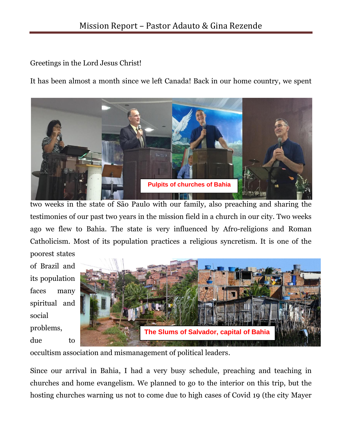Greetings in the Lord Jesus Christ!

It has been almost a month since we left Canada! Back in our home country, we spent



two weeks in the state of São Paulo with our family, also preaching and sharing the testimonies of our past two years in the mission field in a church in our city. Two weeks ago we flew to Bahia. The state is very influenced by Afro-religions and Roman Catholicism. Most of its population practices a religious syncretism. It is one of the poorest states

of Brazil and its population faces many spiritual and social problems, due to



occultism association and mismanagement of political leaders.

Since our arrival in Bahia, I had a very busy schedule, preaching and teaching in churches and home evangelism. We planned to go to the interior on this trip, but the hosting churches warning us not to come due to high cases of Covid 19 (the city Mayer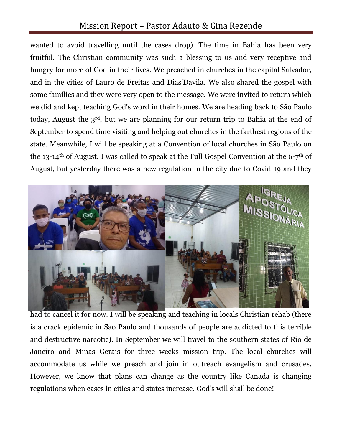## Mission Report – Pastor Adauto & Gina Rezende

wanted to avoid travelling until the cases drop). The time in Bahia has been very fruitful. The Christian community was such a blessing to us and very receptive and hungry for more of God in their lives. We preached in churches in the capital Salvador, and in the cities of Lauro de Freitas and Dias'Davila. We also shared the gospel with some families and they were very open to the message. We were invited to return which we did and kept teaching God's word in their homes. We are heading back to São Paulo today, August the 3rd, but we are planning for our return trip to Bahia at the end of September to spend time visiting and helping out churches in the farthest regions of the state. Meanwhile, I will be speaking at a Convention of local churches in São Paulo on the 13-14<sup>th</sup> of August. I was called to speak at the Full Gospel Convention at the 6-7<sup>th</sup> of August, but yesterday there was a new regulation in the city due to Covid 19 and they



had to cancel it for now. I will be speaking and teaching in locals Christian rehab (there is a crack epidemic in Sao Paulo and thousands of people are addicted to this terrible and destructive narcotic). In September we will travel to the southern states of Rio de Janeiro and Minas Gerais for three weeks mission trip. The local churches will accommodate us while we preach and join in outreach evangelism and crusades. However, we know that plans can change as the country like Canada is changing regulations when cases in cities and states increase. God's will shall be done!